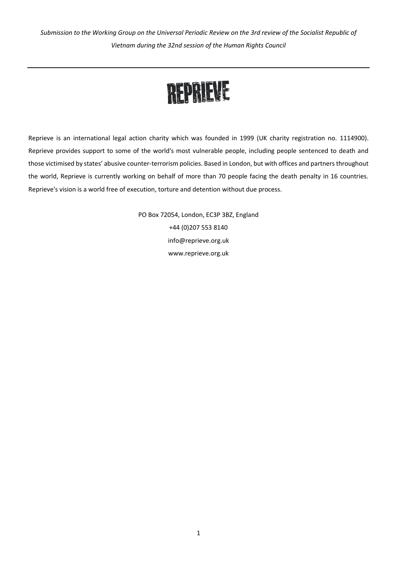*Submission to the Working Group on the Universal Periodic Review on the 3rd review of the Socialist Republic of Vietnam during the 32nd session of the Human Rights Council*

# REPRIEVE

Reprieve is an international legal action charity which was founded in 1999 (UK charity registration no. 1114900). Reprieve provides support to some of the world's most vulnerable people, including people sentenced to death and those victimised by states' abusive counter-terrorism policies. Based in London, but with offices and partners throughout the world, Reprieve is currently working on behalf of more than 70 people facing the death penalty in 16 countries. Reprieve's vision is a world free of execution, torture and detention without due process.

> PO Box 72054, London, EC3P 3BZ, England +44 (0)207 553 8140 info@reprieve.org.uk www.reprieve.org.uk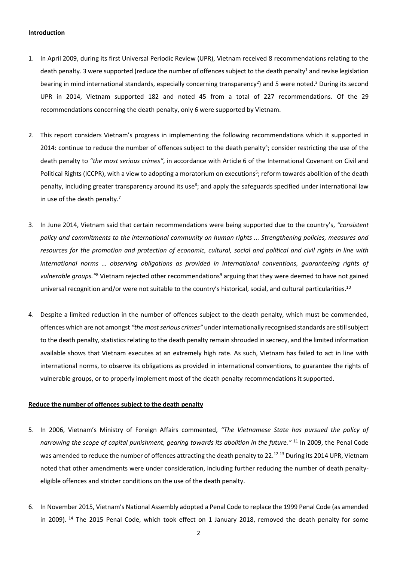# **Introduction**

- 1. In April 2009, during its first Universal Periodic Review (UPR), Vietnam received 8 recommendations relating to the death penalty. 3 were supported (reduce the number of offences subject to the death penalty<sup>1</sup> and revise legislation bearing in mind international standards, especially concerning transparency<sup>2</sup>) and 5 were noted.<sup>3</sup> During its second UPR in 2014, Vietnam supported 182 and noted 45 from a total of 227 recommendations. Of the 29 recommendations concerning the death penalty, only 6 were supported by Vietnam.
- 2. This report considers Vietnam's progress in implementing the following recommendations which it supported in 2014: continue to reduce the number of offences subject to the death penalty<sup>4</sup>; consider restricting the use of the death penalty to *"the most serious crimes"*, in accordance with Article 6 of the International Covenant on Civil and Political Rights (ICCPR), with a view to adopting a moratorium on executions<sup>5</sup>; reform towards abolition of the death penalty, including greater transparency around its use<sup>6</sup>; and apply the safeguards specified under international law in use of the death penalty.<sup>7</sup>
- 3. In June 2014, Vietnam said that certain recommendations were being supported due to the country's, *"consistent policy and commitments to the international community on human rights ... Strengthening policies, measures and resources for the promotion and protection of economic, cultural, social and political and civil rights in line with international norms … observing obligations as provided in international conventions, guaranteeing rights of vulnerable groups."*<sup>8</sup> Vietnam rejected other recommendations<sup>9</sup> arguing that they were deemed to have not gained universal recognition and/or were not suitable to the country's historical, social, and cultural particularities.<sup>10</sup>
- 4. Despite a limited reduction in the number of offences subject to the death penalty, which must be commended, offences which are not amongst *"the most serious crimes"* under internationally recognised standards are still subject to the death penalty, statistics relating to the death penalty remain shrouded in secrecy, and the limited information available shows that Vietnam executes at an extremely high rate. As such, Vietnam has failed to act in line with international norms, to observe its obligations as provided in international conventions, to guarantee the rights of vulnerable groups, or to properly implement most of the death penalty recommendations it supported.

# **Reduce the number of offences subject to the death penalty**

- 5. In 2006, Vietnam's Ministry of Foreign Affairs commented, *"The Vietnamese State has pursued the policy of narrowing the scope of capital punishment, gearing towards its abolition in the future."* <sup>11</sup> In 2009, the Penal Code was amended to reduce the number of offences attracting the death penalty to 22.<sup>12 13</sup> During its 2014 UPR, Vietnam noted that other amendments were under consideration, including further reducing the number of death penaltyeligible offences and stricter conditions on the use of the death penalty.
- 6. In November 2015, Vietnam's National Assembly adopted a Penal Code to replace the 1999 Penal Code (as amended in 2009). <sup>14</sup> The 2015 Penal Code, which took effect on 1 January 2018, removed the death penalty for some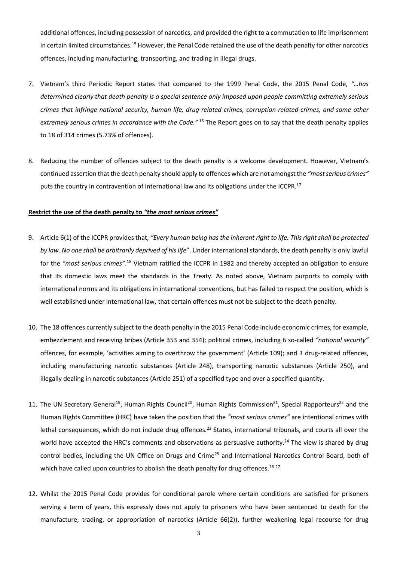additional offences, including possession of narcotics, and provided the right to a commutation to life imprisonment in certain limited circumstances.<sup>15</sup> However, the Penal Code retained the use of the death penalty for other narcotics offences, including manufacturing, transporting, and trading in illegal drugs.

- 7. Vietnam's third Periodic Report states that compared to the 1999 Penal Code, the 2015 Penal Code, *"…has determined clearly that death penalty is a special sentence only imposed upon people committing extremely serious crimes that infringe national security, human life, drug-related crimes, corruption-related crimes, and some other extremely serious crimes in accordance with the Code."* <sup>16</sup> The Report goes on to say that the death penalty applies to 18 of 314 crimes (5.73% of offences).
- 8. Reducing the number of offences subject to the death penalty is a welcome development. However, Vietnam's continued assertion that the death penalty should apply to offences which are not amongst the *"most serious crimes"* puts the country in contravention of international law and its obligations under the ICCPR.<sup>17</sup>

## **Restrict the use of the death penalty to** *"the most serious crimes"*

- 9. Article 6(1) of the ICCPR provides that, *"Every human being has the inherent right to life. This right shall be protected by law. No one shall be arbitrarily deprived of his life*". Under international standards, the death penalty is only lawful for the "most serious crimes".<sup>18</sup> Vietnam ratified the ICCPR in 1982 and thereby accepted an obligation to ensure that its domestic laws meet the standards in the Treaty. As noted above, Vietnam purports to comply with international norms and its obligations in international conventions, but has failed to respect the position, which is well established under international law, that certain offences must not be subject to the death penalty.
- 10. The 18 offences currently subject to the death penalty in the 2015 Penal Code include economic crimes, for example, embezzlement and receiving bribes (Article 353 and 354); political crimes, including 6 so-called *"national security"* offences, for example, 'activities aiming to overthrow the government' (Article 109); and 3 drug-related offences, including manufacturing narcotic substances (Article 248), transporting narcotic substances (Article 250), and illegally dealing in narcotic substances (Article 251) of a specified type and over a specified quantity.
- 11. The UN Secretary General<sup>19</sup>, Human Rights Council<sup>20</sup>, Human Rights Commission<sup>21</sup>, Special Rapporteurs<sup>22</sup> and the Human Rights Committee (HRC) have taken the position that the *"most serious crimes"* are intentional crimes with lethal consequences, which do not include drug offences.<sup>23</sup> States, international tribunals, and courts all over the world have accepted the HRC's comments and observations as persuasive authority.<sup>24</sup> The view is shared by drug control bodies, including the UN Office on Drugs and Crime<sup>25</sup> and International Narcotics Control Board, both of which have called upon countries to abolish the death penalty for drug offences.<sup>26 27</sup>
- 12. Whilst the 2015 Penal Code provides for conditional parole where certain conditions are satisfied for prisoners serving a term of years, this expressly does not apply to prisoners who have been sentenced to death for the manufacture, trading, or appropriation of narcotics (Article 66(2)), further weakening legal recourse for drug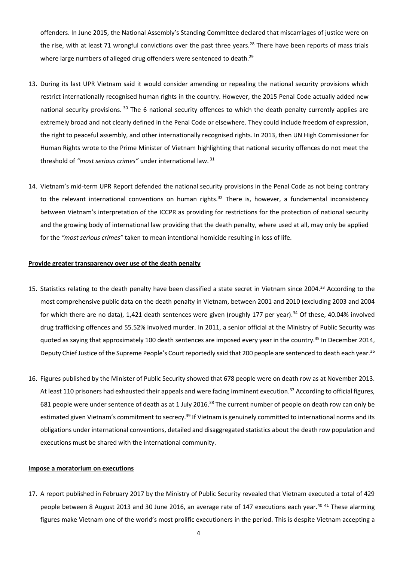offenders. In June 2015, the National Assembly's Standing Committee declared that miscarriages of justice were on the rise, with at least 71 wrongful convictions over the past three years.<sup>28</sup> There have been reports of mass trials where large numbers of alleged drug offenders were sentenced to death.<sup>29</sup>

- 13. During its last UPR Vietnam said it would consider amending or repealing the national security provisions which restrict internationally recognised human rights in the country. However, the 2015 Penal Code actually added new national security provisions. <sup>30</sup> The 6 national security offences to which the death penalty currently applies are extremely broad and not clearly defined in the Penal Code or elsewhere. They could include freedom of expression, the right to peaceful assembly, and other internationally recognised rights. In 2013, then UN High Commissioner for Human Rights wrote to the Prime Minister of Vietnam highlighting that national security offences do not meet the threshold of *"most serious crimes"* under international law. 31
- 14. Vietnam's mid-term UPR Report defended the national security provisions in the Penal Code as not being contrary to the relevant international conventions on human rights. $32$  There is, however, a fundamental inconsistency between Vietnam's interpretation of the ICCPR as providing for restrictions for the protection of national security and the growing body of international law providing that the death penalty, where used at all, may only be applied for the *"most serious crimes"* taken to mean intentional homicide resulting in loss of life.

#### **Provide greater transparency over use of the death penalty**

- 15. Statistics relating to the death penalty have been classified a state secret in Vietnam since 2004.<sup>33</sup> According to the most comprehensive public data on the death penalty in Vietnam, between 2001 and 2010 (excluding 2003 and 2004 for which there are no data), 1,421 death sentences were given (roughly 177 per year).<sup>34</sup> Of these, 40.04% involved drug trafficking offences and 55.52% involved murder. In 2011, a senior official at the Ministry of Public Security was quoted as saying that approximately 100 death sentences are imposed every year in the country. <sup>35</sup> In December 2014, Deputy Chief Justice of the Supreme People's Court reportedly said that 200 people are sentenced to death each year.<sup>36</sup>
- 16. Figures published by the Minister of Public Security showed that 678 people were on death row as at November 2013. At least 110 prisoners had exhausted their appeals and were facing imminent execution.<sup>37</sup> According to official figures, 681 people were under sentence of death as at 1 July 2016.<sup>38</sup> The current number of people on death row can only be estimated given Vietnam's commitment to secrecy.<sup>39</sup> If Vietnam is genuinely committed to international norms and its obligations under international conventions, detailed and disaggregated statistics about the death row population and executions must be shared with the international community.

#### **Impose a moratorium on executions**

17. A report published in February 2017 by the Ministry of Public Security revealed that Vietnam executed a total of 429 people between 8 August 2013 and 30 June 2016, an average rate of 147 executions each year.<sup>40 41</sup> These alarming figures make Vietnam one of the world's most prolific executioners in the period. This is despite Vietnam accepting a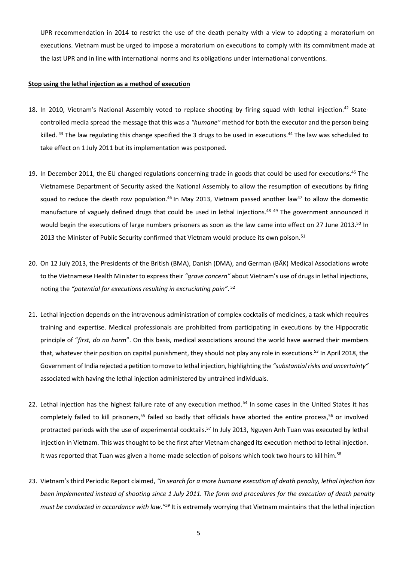UPR recommendation in 2014 to restrict the use of the death penalty with a view to adopting a moratorium on executions. Vietnam must be urged to impose a moratorium on executions to comply with its commitment made at the last UPR and in line with international norms and its obligations under international conventions.

### **Stop using the lethal injection as a method of execution**

- 18. In 2010, Vietnam's National Assembly voted to replace shooting by firing squad with lethal injection.<sup>42</sup> Statecontrolled media spread the message that this was a *"humane"* method for both the executor and the person being killed. <sup>43</sup> The law regulating this change specified the 3 drugs to be used in executions.<sup>44</sup> The law was scheduled to take effect on 1 July 2011 but its implementation was postponed.
- 19. In December 2011, the EU changed regulations concerning trade in goods that could be used for executions.<sup>45</sup> The Vietnamese Department of Security asked the National Assembly to allow the resumption of executions by firing squad to reduce the death row population.<sup>46</sup> In May 2013, Vietnam passed another law<sup>47</sup> to allow the domestic manufacture of vaguely defined drugs that could be used in lethal injections.<sup>48 49</sup> The government announced it would begin the executions of large numbers prisoners as soon as the law came into effect on 27 June 2013.<sup>50</sup> In 2013 the Minister of Public Security confirmed that Vietnam would produce its own poison.<sup>51</sup>
- 20. On 12 July 2013, the Presidents of the British (BMA), Danish (DMA), and German (BÄK) Medical Associations wrote to the Vietnamese Health Minister to express their *"grave concern"* about Vietnam's use of drugs in lethal injections, noting the *"potential for executions resulting in excruciating pain"*. 52
- 21. Lethal injection depends on the intravenous administration of complex cocktails of medicines, a task which requires training and expertise. Medical professionals are prohibited from participating in executions by the Hippocratic principle of "*first, do no harm*". On this basis, medical associations around the world have warned their members that, whatever their position on capital punishment, they should not play any role in executions.<sup>53</sup> In April 2018, the Government of India rejected a petition to move to lethal injection, highlighting the *"substantial risks and uncertainty"* associated with having the lethal injection administered by untrained individuals.
- 22. Lethal injection has the highest failure rate of any execution method.<sup>54</sup> In some cases in the United States it has completely failed to kill prisoners,<sup>55</sup> failed so badly that officials have aborted the entire process,<sup>56</sup> or involved protracted periods with the use of experimental cocktails.<sup>57</sup> In July 2013, Nguyen Anh Tuan was executed by lethal injection in Vietnam. This was thought to be the first after Vietnam changed its execution method to lethal injection. It was reported that Tuan was given a home-made selection of poisons which took two hours to kill him.<sup>58</sup>
- 23. Vietnam's third Periodic Report claimed, *"In search for a more humane execution of death penalty, lethal injection has been implemented instead of shooting since 1 July 2011. The form and procedures for the execution of death penalty must be conducted in accordance with law."<sup>59</sup>* It is extremely worrying that Vietnam maintains that the lethal injection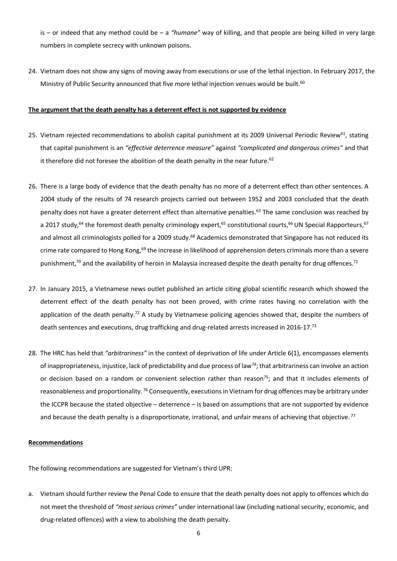is – or indeed that any method could be – a *"humane"* way of killing, and that people are being killed in very large numbers in complete secrecy with unknown poisons.

24. Vietnam does not show any signs of moving away from executions or use of the lethal injection. In February 2017, the Ministry of Public Security announced that five more lethal injection venues would be built.<sup>60</sup>

## **The argument that the death penalty has a deterrent effect is not supported by evidence**

- 25. Vietnam rejected recommendations to abolish capital punishment at its 2009 Universal Periodic Review<sup>61</sup>, stating that capital punishment is an *"effective deterrence measure"* against *"complicated and dangerous crimes"* and that it therefore did not foresee the abolition of the death penalty in the near future.<sup>62</sup>
- 26. There is a large body of evidence that the death penalty has no more of a deterrent effect than other sentences. A 2004 study of the results of 74 research projects carried out between 1952 and 2003 concluded that the death penalty does not have a greater deterrent effect than alternative penalties.<sup>63</sup> The same conclusion was reached by a 2017 study,<sup>64</sup> the foremost death penalty criminology expert,<sup>65</sup> constitutional courts,<sup>66</sup> UN Special Rapporteurs,<sup>67</sup> and almost all criminologists polled for a 2009 study.<sup>68</sup> Academics demonstrated that Singapore has not reduced its crime rate compared to Hong Kong,<sup>69</sup> the increase in likelihood of apprehension deters criminals more than a severe punishment,<sup>70</sup> and the availability of heroin in Malaysia increased despite the death penalty for drug offences.<sup>71</sup>
- 27. In January 2015, a Vietnamese news outlet published an article citing global scientific research which showed the deterrent effect of the death penalty has not been proved, with crime rates having no correlation with the application of the death penalty.<sup>72</sup> A study by Vietnamese policing agencies showed that, despite the numbers of death sentences and executions, drug trafficking and drug-related arrests increased in 2016-17.<sup>73</sup>
- 28. The HRC has held that *"arbitrariness"* in the context of deprivation of life under Article 6(1), encompasses elements of inappropriateness, injustice, lack of predictability and due process of law<sup>74</sup>; that arbitrariness can involve an action or decision based on a random or convenient selection rather than reason<sup>75</sup>; and that it includes elements of reasonableness and proportionality. <sup>76</sup> Consequently, executions in Vietnam for drug offences may be arbitrary under the ICCPR because the stated objective – deterrence – is based on assumptions that are not supported by evidence and because the death penalty is a disproportionate, irrational, and unfair means of achieving that objective.<sup>77</sup>

# **Recommendations**

The following recommendations are suggested for Vietnam's third UPR:

a. Vietnam should further review the Penal Code to ensure that the death penalty does not apply to offences which do not meet the threshold of *"most serious crimes"* under international law (including national security, economic, and drug-related offences) with a view to abolishing the death penalty.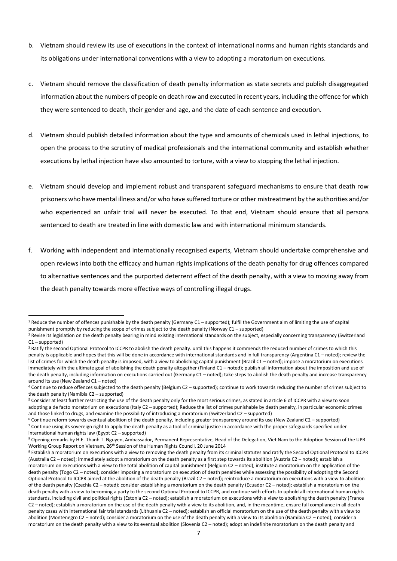- b. Vietnam should review its use of executions in the context of international norms and human rights standards and its obligations under international conventions with a view to adopting a moratorium on executions.
- c. Vietnam should remove the classification of death penalty information as state secrets and publish disaggregated information about the numbers of people on death row and executed in recent years, including the offence for which they were sentenced to death, their gender and age, and the date of each sentence and execution.
- d. Vietnam should publish detailed information about the type and amounts of chemicals used in lethal injections, to open the process to the scrutiny of medical professionals and the international community and establish whether executions by lethal injection have also amounted to torture, with a view to stopping the lethal injection.
- e. Vietnam should develop and implement robust and transparent safeguard mechanisms to ensure that death row prisoners who have mental illness and/or who have suffered torture or other mistreatment by the authorities and/or who experienced an unfair trial will never be executed. To that end, Vietnam should ensure that all persons sentenced to death are treated in line with domestic law and with international minimum standards.
- f. Working with independent and internationally recognised experts, Vietnam should undertake comprehensive and open reviews into both the efficacy and human rights implications of the death penalty for drug offences compared to alternative sentences and the purported deterrent effect of the death penalty, with a view to moving away from the death penalty towards more effective ways of controlling illegal drugs.

<sup>&</sup>lt;sup>1</sup> Reduce the number of offences punishable by the death penalty (Germany C1 – supported); fulfil the Government aim of limiting the use of capital punishment promptly by reducing the scope of crimes subject to the death penalty (Norway C1 – supported)  $\ddot{\phantom{a}}$ 

<sup>&</sup>lt;sup>2</sup> Revise its legislation on the death penalty bearing in mind existing international standards on the subject, especially concerning transparency (Switzerland C1 – supported)

<sup>&</sup>lt;sup>3</sup> Ratify the second Optional Protocol to ICCPR to abolish the death penalty. until this happens it commends the reduced number of crimes to which this penalty is applicable and hopes that this will be done in accordance with international standards and in full transparency (Argentina C1 – noted); review the list of crimes for which the death penalty is imposed, with a view to abolishing capital punishment (Brazil C1 – noted); impose a moratorium on executions immediately with the ultimate goal of abolishing the death penalty altogether (Finland C1 – noted); publish all information about the imposition and use of the death penalty, including information on executions carried out (Germany C1 – noted); take steps to abolish the death penalty and increase transparency around its use (New Zealand C1 – noted)

<sup>4</sup> Continue to reduce offences subjected to the death penalty (Belgium C2 – supported); continue to work towards reducing the number of crimes subject to the death penalty (Namibia C2 – supported)

<sup>5</sup> Consider at least further restricting the use of the death penalty only for the most serious crimes, as stated in article 6 of ICCPR with a view to soon adopting a de facto moratorium on executions (Italy C2 – supported); Reduce the list of crimes punishable by death penalty, in particular economic crimes and those linked to drugs, and examine the possibility of introducing a moratorium (Switzerland C2 – supported)

<sup>6</sup> Continue reform towards eventual abolition of the death penalty, including greater transparency around its use (New Zealand C2 – supported) <sup>7</sup> Continue using its sovereign right to apply the death penalty as a tool of criminal justice in accordance with the proper safeguards specified under international human rights law (Egypt C2 – supported)

<sup>8</sup> Opening remarks by H.E. Thanh T. Nguyen, Ambassador, Permanent Representative, Head of the Delegation, Viet Nam to the Adoption Session of the UPR Working Group Report on Vietnam, 26th Session of the Human Rights Council, 20 June 2014

<sup>&</sup>lt;sup>9</sup> Establish a moratorium on executions with a view to removing the death penalty from its criminal statutes and ratify the Second Optional Protocol to ICCPR (Australia C2 – noted); immediately adopt a moratorium on the death penalty as a first step towards its abolition (Austria C2 – noted); establish a moratorium on executions with a view to the total abolition of capital punishment (Belgium C2 – noted); institute a moratorium on the application of the death penalty (Togo C2 – noted); consider imposing a moratorium on execution of death penalties while assessing the possibility of adopting the Second Optional Protocol to ICCPR aimed at the abolition of the death penalty (Brazil C2 – noted); reintroduce a moratorium on executions with a view to abolition of the death penalty (Czechia C2 – noted); consider establishing a moratorium on the death penalty (Ecuador C2 – noted); establish a moratorium on the death penalty with a view to becoming a party to the second Optional Protocol to ICCPR, and continue with efforts to uphold all international human rights standards, including civil and political rights (Estonia C2 – noted); establish a moratorium on executions with a view to abolishing the death penalty (France C2 – noted); establish a moratorium on the use of the death penalty with a view to its abolition, and, in the meantime, ensure full compliance in all death penalty cases with international fair trial standards (Lithuania C2 – noted); establish an official moratorium on the use of the death penalty with a view to abolition (Montenegro C2 – noted); consider a moratorium on the use of the death penalty with a view to its abolition (Namibia C2 – noted); consider a moratorium on the death penalty with a view to its eventual abolition (Slovenia C2 – noted); adopt an indefinite moratorium on the death penalty and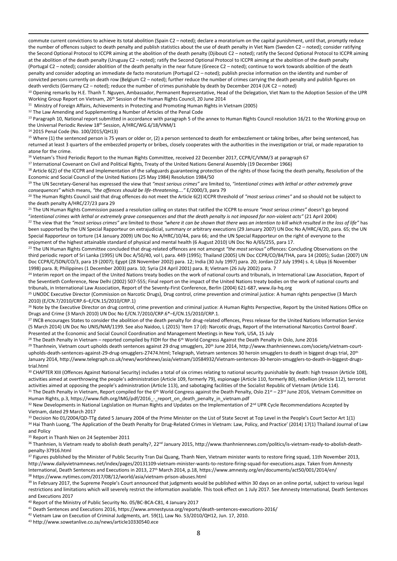commute current convictions to achieve its total abolition (Spain C2 – noted); declare a moratorium on the capital punishment, until that, promptly reduce the number of offences subject to death penalty and publish statistics about the use of death penalty in Viet Nam (Sweden C2 – noted); consider ratifying the Second Optional Protocol to ICCPR aiming at the abolition of the death penalty (Djibouti C2 – noted); ratify the Second Optional Protocol to ICCPR aiming at the abolition of the death penalty (Uruguay C2 – noted); ratify the Second Optional Protocol to ICCPR aiming at the abolition of the death penalty (Portugal C2 – noted); consider abolition of the death penalty in the near future (Greece C2 – noted); continue to work towards abolition of the death penalty and consider adopting an immediate de facto moratorium (Portugal C2 – noted); publish precise information on the identity and number of convicted persons currently on death row (Belgium C2 – noted); further reduce the number of crimes carrying the death penalty and publish figures on death verdicts (Germany C2 – noted); reduce the number of crimes punishable by death by December 2014 (UK C2 – noted)

<sup>10</sup> Opening remarks by H.E. Thanh T. Nguyen, Ambassador, Permanent Representative, Head of the Delegation, Viet Nam to the Adoption Session of the UPR Working Group Report on Vietnam, 26<sup>th</sup> Session of the Human Rights Council, 20 June 2014

<sup>11</sup> Ministry of Foreign Affairs, Achievements in Protecting and Promoting Human Rights in Vietnam (2005)

<sup>12</sup> The Law Amending and Supplementing a Number of Articles of the Penal Code

<sup>13</sup> Paragraph 10, National report submitted in accordance with paragraph 5 of the annex to Human Rights Council resolution 16/21 to the Working group on the Universal Periodic Review 18<sup>th</sup> Session, A/HRC/WG.6/18/VNM/1

<sup>14</sup> 2015 Penal Code (No. 100/2015/QH13)

 $\overline{a}$ 

<sup>15</sup> Where (1) the sentenced person is 75 years or older or, (2) a person sentenced to death for embezzlement or taking bribes, after being sentenced, has returned at least 3 quarters of the embezzled property or bribes, closely cooperates with the authorities in the investigation or trial, or made reparation to atone for the crime.

<sup>16</sup> Vietnam's Third Periodic Report to the Human Rights Committee, received 22 December 2017, CCPR/C/VNM/3 at paragraph 67

<sup>17</sup> International Covenant on Civil and Political Rights, Treaty of the United Nations General Assembly (19 December 1966)

<sup>18</sup> Article 6(2) of the ICCPR and Implementation of the safeguards guaranteeing protection of the rights of those facing the death penalty, Resolution of the Economic and Social Council of the United Nations (25 May 1984) Resolution 1984/50

<sup>19</sup> The UN Secretary-General has expressed the view that *"most serious crimes"* are limited to, *"intentional crimes with lethal or other extremely grave consequences"* which means, *"the offences should be life-threatening…."* E/2000/3, para 79

<sup>20</sup> The Human Rights Council said that drug offences do not meet the Article 6(2) ICCPR threshold of *"most serious crimes"* and so should not be subject to the death penalty A/HRC/27/23 para 29

<sup>21</sup> The UN Human Rights Commission passed a resolution calling on states that ratified the ICCPR to ensure *"most serious crimes"* doesn't go beyond "*intentional crimes with lethal or extremely grave consequences and that the death penalty is not imposed for non-violent acts"* (21 April 2004) <sup>22</sup> The view that the "most serious crimes" are limited to those "where it can be shown that there was an intention to kill which resulted in the loss of life" has been supported by the UN Special Rapporteur on extrajudicial, summary or arbitrary executions (29 January 2007) UN Doc No A/HRC/4/20, para. 65; the UN Special Rapporteur on torture (14 January 2009) UN Doc No A/HRC/10/44, para 66; and the UN Special Rapporteur on the right of everyone to the enjoyment of the highest attainable standard of physical and mental health (6 August 2010) UN Doc No A/65/255, para 17.

<sup>23</sup> The UN Human Rights Committee concluded that drug-related offences are not amongst "the most serious" offences: Concluding Observations on the third periodic report of Sri Lanka (1995) UN Doc A/50/40, vol I, para. 449 (1995); Thailand (2005) UN Doc CCPR/CO/84/THA, para 14 (2005); Sudan (2007) UN Doc CCPR/C/SDN/CO/3, para 19 (2007); Egypt (28 November 2002) para. 12; India (30 July 1997) para. 20; Jordan (27 July 1994) s. 4; Libya (6 November 1998) para. 8; Philippines (1 December 2003) para. 10; Syria (24 April 2001) para. 8; Vietnam (26 July 2002) para. 7

<sup>24</sup> Interim report on the impact of the United Nations treaty bodies on the work of national courts and tribunals, in International Law Association, Report of the Seventieth Conference, New Delhi (2002) 507-555; Final report on the impact of the United Nations treaty bodies on the work of national courts and tribunals, in International Law Association, Report of the Seventy-First Conference, Berlin (2004) 621-687, www.ila-hq.org

<sup>25</sup> UNODC Executive Director (Commission on Narcotic Drugs), Drug control, crime prevention and criminal justice: A human rights perspective (3 March 2010) (E/CN.7/2010/CRP.6–E/CN.15/2010/CRP.1)

<sup>26</sup> Note by the Executive Director on drug control, crime prevention and criminal justice: A Human Rights Perspective, Report by the United Nations Office on Drugs and Crime (3 March 2010) UN Doc No E/CN.7/2010/CRP.6\*–E/CN.15/2010/CRP.1.

<sup>27</sup> INCB encourages States to consider the abolition of the death penalty for drug-related offences, Press release for the United Nations Information Service (5 March 2014) UN Doc No UNIS/NAR/1199. See also Naidoo, L (2015) 'Item 17 (d): Narcotic drugs, Report of the International Narcotics Control Board'. Presented at the Economic and Social Council Coordination and Management Meetings in New York, USA, 15 July

 $28$  The Death Penalty in Vietnam – reported compiled by FIDH for the 6<sup>th</sup> World Congress Against the Death Penalty in Oslo, June 2016

<sup>29</sup> Thanhnein, Vietnam court upholds death sentences against 29 drug smugglers, 20<sup>th</sup> June 2014, http://www.thanhniennews.com/society/vietnam-courtupholds-death-sentences-against-29-drug-smugglers-27474.html; Telegraph, Vietnam sentences 30 heroin smugglers to death in biggest drugs trial, 20<sup>th</sup> January 2014, http://www.telegraph.co.uk/news/worldnews/asia/vietnam/10584932/Vietnam-sentences-30-heroin-smugglers-to-death-in-biggest-drugstrial.html

<sup>30</sup> CHAPTER XIII (Offences Against National Security) includes a total of six crimes relating to national security punishable by death: high treason (Article 108), activities aimed at overthrowing the people's administration (Article 109, formerly 79), espionage (Article 110, formerly 80), rebellion (Article 112), terrorist activities aimed at opposing the people's administration (Article 113), and sabotaging facilities of the Socialist Republic of Vietnam (Article 114).

31 The Death Penalty in Vietnam, Report compiled for the 6<sup>th</sup> World Congress against the Death Penalty, Oslo 21<sup>st</sup> – 23<sup>rd</sup> June 2016, Vietnam Committee on Human Rights, p.3, https://www.fidh.org/IMG/pdf/2016 - report\_on\_death\_penalty\_in\_vietnam.pdf

32 New Developments in National Legislation on Human Rights and Updates on the Implementation of 2<sup>nd</sup> UPR Cycle Recommendations Accepted by Vietnam, dated 29 March 2017

33 Decision No 01/2004/QD-TTg dated 5 January 2004 of the Prime Minister on the List of State Secret at Top Level in the People's Court Sector Art 1(1) 34 Hai Thanh Luong, 'The Application of the Death Penalty for Drug-Related Crimes in Vietnam: Law, Policy, and Practice' (2014) 17(1) Thailand Journal of Law and Policy

<sup>35</sup> Report in Thanh Nien on 24 September 2011

36 Thanhnien, Is Vietnam ready to abolish death penalty?, 22<sup>nd</sup> January 2015, http://www.thanhniennews.com/politics/is-vietnam-ready-to-abolish-deathpenalty-37916.html

<sup>37</sup> Figures published by the Minister of Public Security Tran Dai Quang, Thanh Nien, Vietnam minister wants to restore firing squad, 11th November 2013, http://www.dailyvietnamnews.net/index/pages/20131109-vietnam-minister-wants-to-restore-firing-squad-for-executions.aspx. Taken from Amnesty International, Death Sentences and Executions in 2013, 27th March 2014, p.18, https://www.amnesty.org/en/documents/act50/001/2014/en/ <sup>38</sup> https://www.nytimes.com/2017/08/12/world/asia/vietnam-prison-abuses.html

<sup>39</sup> In February 2017, the Supreme People's Court announced that judgments would be published within 30 days on an online portal, subject to various legal restrictions and limitations which will severely restrict the information available. This took effect on 1 July 2017. See Amnesty International, Death Sentences and Executions 2017

<sup>40</sup> Report of the Ministry of Public Security No. 05/BC-BCA-C81, 4 January 2017

<sup>41</sup> Death Sentences and Executions 2016, https://www.amnestyusa.org/reports/death-sentences-executions-2016/

<sup>42</sup> Vietnam Law on Execution of Criminal Judgments, art. 59(1), Law No. 53/2010/QH12, Jun. 17, 2010.

<sup>43</sup> http://www.sowetanlive.co.za/news/article10330540.ece